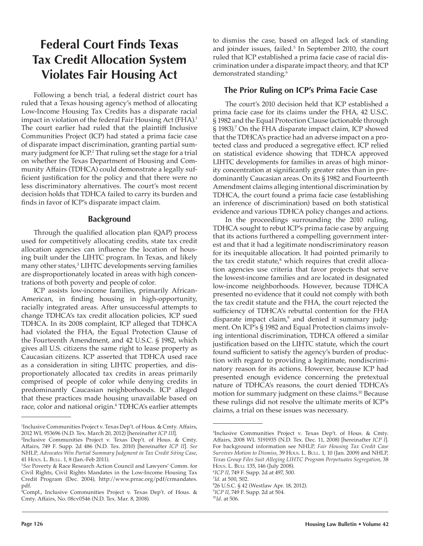# **Federal Court Finds Texas Tax Credit Allocation System Violates Fair Housing Act**

Following a bench trial, a federal district court has ruled that a Texas housing agency's method of allocating Low-Income Housing Tax Credits has a disparate racial impact in violation of the federal Fair Housing Act (FHA).<sup>1</sup> The court earlier had ruled that the plaintiff Inclusive Communities Project (ICP) had stated a prima facie case of disparate impact discrimination, granting partial summary judgment for ICP.<sup>2</sup> That ruling set the stage for a trial on whether the Texas Department of Housing and Community Affairs (TDHCA) could demonstrate a legally sufficient justification for the policy and that there were no less discriminatory alternatives. The court's most recent decision holds that TDHCA failed to carry its burden and finds in favor of ICP's disparate impact claim.

#### **Background**

Through the qualified allocation plan (QAP) process used for competitively allocating credits, state tax credit allocation agencies can influence the location of housing built under the LIHTC program. In Texas, and likely many other states,3 LIHTC developments serving families are disproportionately located in areas with high concentrations of both poverty and people of color.

ICP assists low-income families, primarily African-American, in finding housing in high-opportunity, racially integrated areas. After unsuccessful attempts to change TDHCA's tax credit allocation policies, ICP sued TDHCA. In its 2008 complaint, ICP alleged that TDHCA had violated the FHA, the Equal Protection Clause of the Fourteenth Amendment, and 42 U.S.C. § 1982, which gives all U.S. citizens the same right to lease property as Caucasian citizens. ICP asserted that TDHCA used race as a consideration in siting LIHTC properties, and disproportionately allocated tax credits in areas primarily comprised of people of color while denying credits in predominantly Caucasian neighborhoods. ICP alleged that these practices made housing unavailable based on race, color and national origin.<sup>4</sup> TDHCA's earlier attempts to dismiss the case, based on alleged lack of standing and joinder issues, failed.<sup>5</sup> In September 2010, the court ruled that ICP established a prima facie case of racial discrimination under a disparate impact theory, and that ICP demonstrated standing.<sup>6</sup>

## **The Prior Ruling on ICP's Prima Facie Case**

The court's 2010 decision held that ICP established a prima facie case for its claims under the FHA, 42 U.S.C. § 1982 and the Equal Protection Clause (actionable through § 1983).<sup>7</sup> On the FHA disparate impact claim, ICP showed that the TDHCA's practice had an adverse impact on a protected class and produced a segregative effect. ICP relied on statistical evidence showing that TDHCA approved LIHTC developments for families in areas of high minority concentration at significantly greater rates than in predominantly Caucasian areas. On its § 1982 and Fourteenth Amendment claims alleging intentional discrimination by TDHCA, the court found a prima facie case (establishing an inference of discrimination) based on both statistical evidence and various TDHCA policy changes and actions.

In the proceedings surrounding the 2010 ruling, TDHCA sought to rebut ICP's prima facie case by arguing that its actions furthered a compelling government interest and that it had a legitimate nondiscriminatory reason for its inequitable allocation. It had pointed primarily to the tax credit statute, $^8$  which requires that credit allocation agencies use criteria that favor projects that serve the lowest-income families and are located in designated low-income neighborhoods. However, because TDHCA presented no evidence that it could not comply with both the tax credit statute and the FHA, the court rejected the sufficiency of TDHCA's rebuttal contention for the FHA disparate impact claim,<sup>9</sup> and denied it summary judgment. On ICP's § 1982 and Equal Protection claims involving intentional discrimination, TDHCA offered a similar justification based on the LIHTC statute, which the court found sufficient to satisfy the agency's burden of production with regard to providing a legitimate, nondiscriminatory reason for its actions. However, because ICP had presented enough evidence concerning the pretextual nature of TDHCA's reasons, the court denied TDHCA's motion for summary judgment on these claims.10 Because these rulings did not resolve the ultimate merits of ICP's claims, a trial on these issues was necessary.

6 *ICP II*, 749 F. Supp. 2d at 497, 500.

<sup>1</sup> Inclusive Communities Project v. Texas Dep't. of Hous. & Cmty. Affairs, 2012 WL 953696 (N.D. Tex. March 20, 2012) [hereinafter *ICP III*].

<sup>2</sup> Inclusive Communities Project v. Texas Dep't. of Hous. & Cmty. Affairs, 749 F. Supp. 2d 486 (N.D. Tex. 2010) [hereinafter *ICP II*]. *See* NHLP, *Advocates Win Partial Summary Judgment in Tax Credit Siting Case*, 41 Hous. L. Bull. 1, 8 (Jan.-Feb 2011).

<sup>3</sup> *See* Poverty & Race Research Action Council and Lawyers' Comm. for Civil Rights, Civil Rights Mandates in the Low-Income Housing Tax Credit Program (Dec. 2004), http://www.prrac.org/pdf/crmandates. pdf.

<sup>4</sup> Compl., Inclusive Communities Project v. Texas Dep't. of Hous. & Cmty. Affairs, No. 08cv0546 (N.D. Tex. Mar. 8, 2008).

<sup>5</sup> Inclusive Communities Project v. Texas Dep't. of Hous. & Cmty. Affairs, 2008 WL 5191935 (N.D. Tex. Dec. 11, 2008) [hereinafter *ICP I*]. For background information see NHLP, *Fair Housing Tax Credit Case Survives Motion to Dismiss, 39 Hous. L. Bull. 1, 10 (Jan. 2009) and NHLP, Texas Group Files Suit Alleging LIHTC Program Perpetuates Segregation*, 38 Hous. L. Bull 135, 146 (July 2008).

<sup>7</sup> *Id.* at 500, 502.

<sup>8</sup> 26 U.S.C. § 42 (Westlaw Apr. 18, 2012).

<sup>9</sup> *ICP II*, 749 F. Supp. 2d at 504.

<sup>10</sup>*Id.* at 506.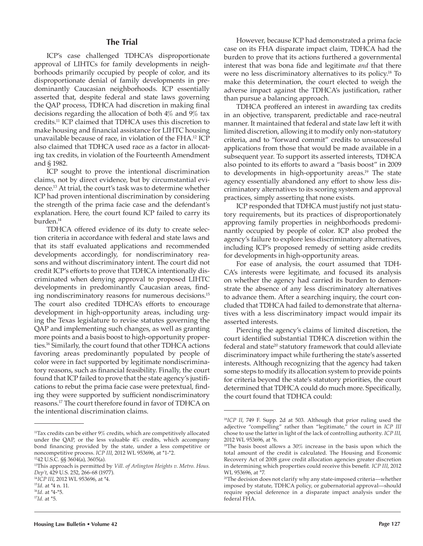#### **The Trial**

ICP's case challenged TDHCA's disproportionate approval of LIHTCs for family developments in neighborhoods primarily occupied by people of color, and its disproportionate denial of family developments in predominantly Caucasian neighborhoods. ICP essentially asserted that, despite federal and state laws governing the QAP process, TDHCA had discretion in making final decisions regarding the allocation of both 4% and 9% tax credits.11 ICP claimed that TDHCA uses this discretion to make housing and financial assistance for LIHTC housing unavailable because of race, in violation of the FHA.12 ICP also claimed that TDHCA used race as a factor in allocating tax credits, in violation of the Fourteenth Amendment and § 1982.

ICP sought to prove the intentional discrimination claims, not by direct evidence, but by circumstantial evidence.13 At trial, the court's task was to determine whether ICP had proven intentional discrimination by considering the strength of the prima facie case and the defendant's explanation. Here, the court found ICP failed to carry its burden.<sup>14</sup>

TDHCA offered evidence of its duty to create selection criteria in accordance with federal and state laws and that its staff evaluated applications and recommended developments accordingly, for nondiscriminatory reasons and without discriminatory intent. The court did not credit ICP's efforts to prove that TDHCA intentionally discriminated when denying approval to proposed LIHTC developments in predominantly Caucasian areas, finding nondiscriminatory reasons for numerous decisions.<sup>15</sup> The court also credited TDHCA's efforts to encourage development in high-opportunity areas, including urging the Texas legislature to revise statutes governing the QAP and implementing such changes, as well as granting more points and a basis boost to high-opportunity properties.16 Similarly, the court found that other TDHCA actions favoring areas predominantly populated by people of color were in fact supported by legitimate nondiscriminatory reasons, such as financial feasibility. Finally, the court found that ICP failed to prove that the state agency's justifications to rebut the prima facie case were pretextual, finding they were supported by sufficient nondiscriminatory reasons.17 The court therefore found in favor of TDHCA on the intentional discrimination claims.

TDHCA proffered an interest in awarding tax credits in an objective, transparent, predictable and race-neutral manner. It maintained that federal and state law left it with limited discretion, allowing it to modify only non-statutory criteria, and to "forward commit" credits to unsuccessful applications from those that would be made available in a subsequent year. To support its asserted interests, TDHCA also pointed to its efforts to award a "basis boost" in 2009 to developments in high-opportunity areas.<sup>19</sup> The state agency essentially abandoned any effort to show less discriminatory alternatives to its scoring system and approval practices, simply asserting that none exists.

ICP responded that TDHCA must justify not just statutory requirements, but its practices of disproportionately approving family properties in neighborhoods predominantly occupied by people of color. ICP also probed the agency's failure to explore less discriminatory alternatives, including ICP's proposed remedy of setting aside credits for developments in high-opportunity areas.

For ease of analysis, the court assumed that TDH-CA's interests were legitimate, and focused its analysis on whether the agency had carried its burden to demonstrate the absence of any less discriminatory alternatives to advance them. After a searching inquiry, the court concluded that TDHCA had failed to demonstrate that alternatives with a less discriminatory impact would impair its asserted interests.

Piercing the agency's claims of limited discretion, the court identified substantial TDHCA discretion within the federal and state<sup>20</sup> statutory framework that could alleviate discriminatory impact while furthering the state's asserted interests. Although recognizing that the agency had taken some steps to modify its allocation system to provide points for criteria beyond the state's statutory priorities, the court determined that TDHCA could do much more. Specifically, the court found that TDHCA could:

<sup>&</sup>lt;sup>11</sup>Tax credits can be either 9% credits, which are competitively allocated under the QAP, or the less valuable 4% credits, which accompany bond financing provided by the state, under a less competitive or noncompetitive process. *ICP III*, 2012 WL 953696, at \*1-\*2.

<sup>12</sup>42 U.S.C. §§ 3604(a), 3605(a).

<sup>13</sup>This approach is permitted by *Vill. of Arlington Heights v. Metro. Hous. Dep't*, 429 U.S. 252, 266-68 (1977).

<sup>14</sup>*ICP III*, 2012 WL 953696, at \*4.

<sup>15</sup>*Id.* at \*4 n. 11.

<sup>16</sup>*Id.* at \*4-\*5. <sup>17</sup>*Id.* at \*5.

However, because ICP had demonstrated a prima facie case on its FHA disparate impact claim, TDHCA had the burden to prove that its actions furthered a governmental interest that was bona fide and legitimate *and* that there were no less discriminatory alternatives to its policy.18 To make this determination, the court elected to weigh the adverse impact against the TDHCA's justification, rather than pursue a balancing approach.

<sup>18</sup>*ICP II*, 749 F. Supp. 2d at 503. Although that prior ruling used the adjective "compelling" rather than "legitimate," the court in *ICP III* chose to use the latter in light of the lack of controlling authority. *ICP III*, 2012 WL 953696, at \*6.

<sup>&</sup>lt;sup>19</sup>The basis boost allows a 30% increase in the basis upon which the total amount of the credit is calculated. The Housing and Economic Recovery Act of 2008 gave credit allocation agencies greater discretion in determining which properties could receive this benefit. *ICP III*, 2012 WL 953696, at \*7.

<sup>20</sup>The decision does not clarify why any state-imposed criteria—whether imposed by statute, TDHCA policy, or gubernatorial approval—should require special deference in a disparate impact analysis under the federal FHA.